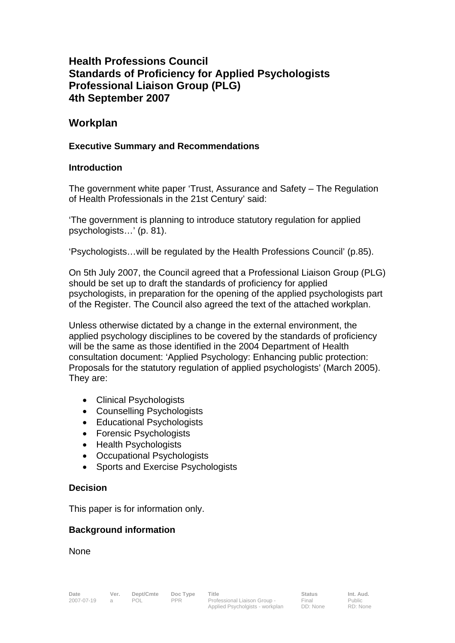# **Health Professions Council Standards of Proficiency for Applied Psychologists Professional Liaison Group (PLG) 4th September 2007**

## **Workplan**

#### **Executive Summary and Recommendations**

#### **Introduction**

The government white paper 'Trust, Assurance and Safety – The Regulation of Health Professionals in the 21st Century' said:

'The government is planning to introduce statutory regulation for applied psychologists…' (p. 81).

'Psychologists…will be regulated by the Health Professions Council' (p.85).

On 5th July 2007, the Council agreed that a Professional Liaison Group (PLG) should be set up to draft the standards of proficiency for applied psychologists, in preparation for the opening of the applied psychologists part of the Register. The Council also agreed the text of the attached workplan.

Unless otherwise dictated by a change in the external environment, the applied psychology disciplines to be covered by the standards of proficiency will be the same as those identified in the 2004 Department of Health consultation document: 'Applied Psychology: Enhancing public protection: Proposals for the statutory regulation of applied psychologists' (March 2005). They are:

- Clinical Psychologists
- Counselling Psychologists
- Educational Psychologists
- Forensic Psychologists
- Health Psychologists
- Occupational Psychologists
- Sports and Exercise Psychologists

#### **Decision**

This paper is for information only.

#### **Background information**

**None**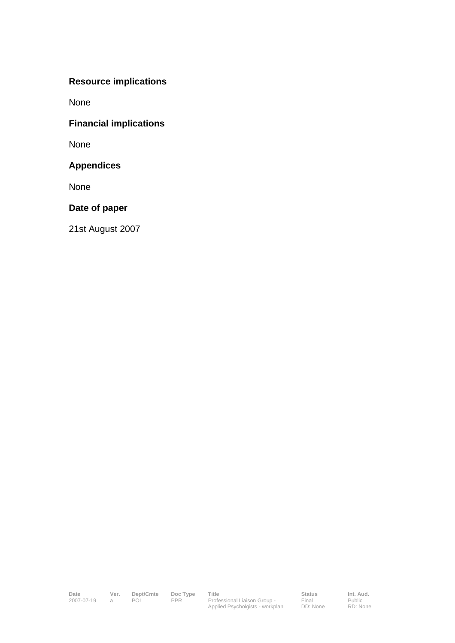# **Resource implications**

None

## **Financial implications**

None

## **Appendices**

None

## **Date of paper**

21st August 2007

Date Ver. Dept/Cmte Doc Type Title **Status** Status Int. Aud. 2007-07-19 a POL PPR Professional Liaison Group - Applied Psycholgists - workplan

Final DD: None Public RD: None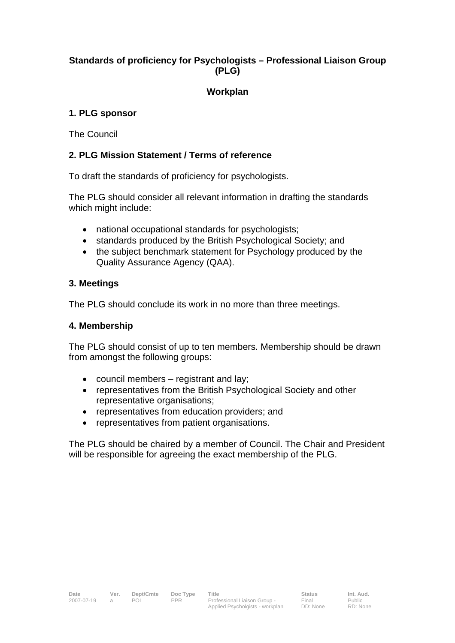## **Standards of proficiency for Psychologists – Professional Liaison Group (PLG)**

## **Workplan**

### **1. PLG sponsor**

The Council

### **2. PLG Mission Statement / Terms of reference**

To draft the standards of proficiency for psychologists.

The PLG should consider all relevant information in drafting the standards which might include:

- national occupational standards for psychologists;
- standards produced by the British Psychological Society; and
- the subject benchmark statement for Psychology produced by the Quality Assurance Agency (QAA).

#### **3. Meetings**

The PLG should conclude its work in no more than three meetings.

#### **4. Membership**

The PLG should consist of up to ten members. Membership should be drawn from amongst the following groups:

- council members registrant and lay;
- representatives from the British Psychological Society and other representative organisations;
- representatives from education providers; and
- representatives from patient organisations.

The PLG should be chaired by a member of Council. The Chair and President will be responsible for agreeing the exact membership of the PLG.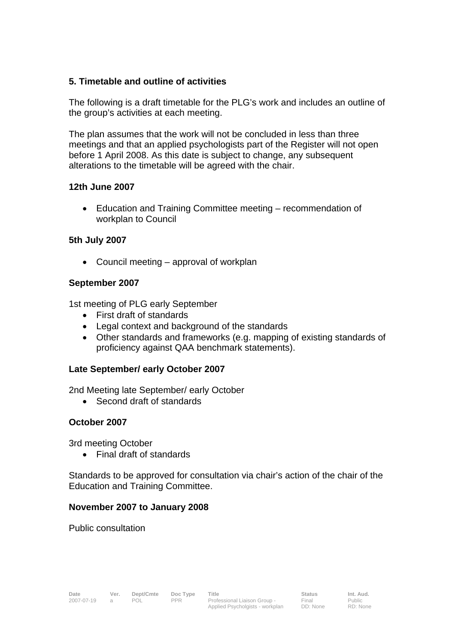#### **5. Timetable and outline of activities**

The following is a draft timetable for the PLG's work and includes an outline of the group's activities at each meeting.

The plan assumes that the work will not be concluded in less than three meetings and that an applied psychologists part of the Register will not open before 1 April 2008. As this date is subject to change, any subsequent alterations to the timetable will be agreed with the chair.

#### **12th June 2007**

• Education and Training Committee meeting – recommendation of workplan to Council

## **5th July 2007**

• Council meeting – approval of workplan

#### **September 2007**

1st meeting of PLG early September

- First draft of standards
- Legal context and background of the standards
- Other standards and frameworks (e.g. mapping of existing standards of proficiency against QAA benchmark statements).

## **Late September/ early October 2007**

2nd Meeting late September/ early October

• Second draft of standards

## **October 2007**

3rd meeting October

• Final draft of standards

Standards to be approved for consultation via chair's action of the chair of the Education and Training Committee.

#### **November 2007 to January 2008**

Public consultation